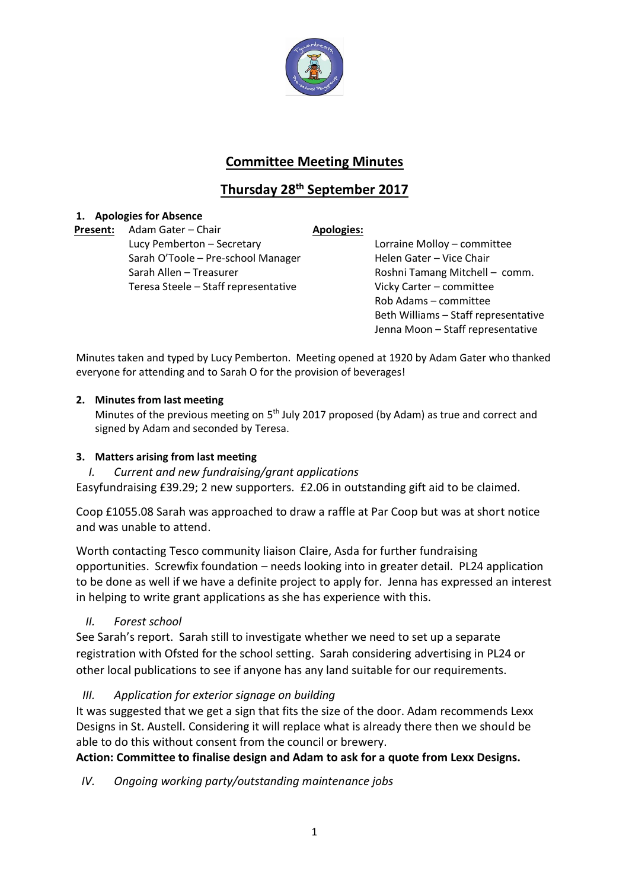

# **Committee Meeting Minutes**

# **Thursday 28th September 2017**

## **1. Apologies for Absence**

**Present:** Adam Gater – Chair **Apologies:** Lucy Pemberton – Secretary Lorraine Molloy – committee Sarah O'Toole – Pre-school Manager Helen Gater – Vice Chair Sarah Allen – Treasurer Roshni Tamang Mitchell – comm. Teresa Steele – Staff representative Vicky Carter – committee

Rob Adams – committee Beth Williams – Staff representative Jenna Moon – Staff representative

Minutes taken and typed by Lucy Pemberton. Meeting opened at 1920 by Adam Gater who thanked everyone for attending and to Sarah O for the provision of beverages!

## **2. Minutes from last meeting**

Minutes of the previous meeting on 5<sup>th</sup> July 2017 proposed (by Adam) as true and correct and signed by Adam and seconded by Teresa.

## **3. Matters arising from last meeting**

*I. Current and new fundraising/grant applications*

Easyfundraising £39.29; 2 new supporters. £2.06 in outstanding gift aid to be claimed.

Coop £1055.08 Sarah was approached to draw a raffle at Par Coop but was at short notice and was unable to attend.

Worth contacting Tesco community liaison Claire, Asda for further fundraising opportunities. Screwfix foundation – needs looking into in greater detail. PL24 application to be done as well if we have a definite project to apply for. Jenna has expressed an interest in helping to write grant applications as she has experience with this.

## *II. Forest school*

See Sarah's report. Sarah still to investigate whether we need to set up a separate registration with Ofsted for the school setting. Sarah considering advertising in PL24 or other local publications to see if anyone has any land suitable for our requirements.

*III. Application for exterior signage on building*

It was suggested that we get a sign that fits the size of the door. Adam recommends Lexx Designs in St. Austell. Considering it will replace what is already there then we should be able to do this without consent from the council or brewery.

## **Action: Committee to finalise design and Adam to ask for a quote from Lexx Designs.**

*IV. Ongoing working party/outstanding maintenance jobs*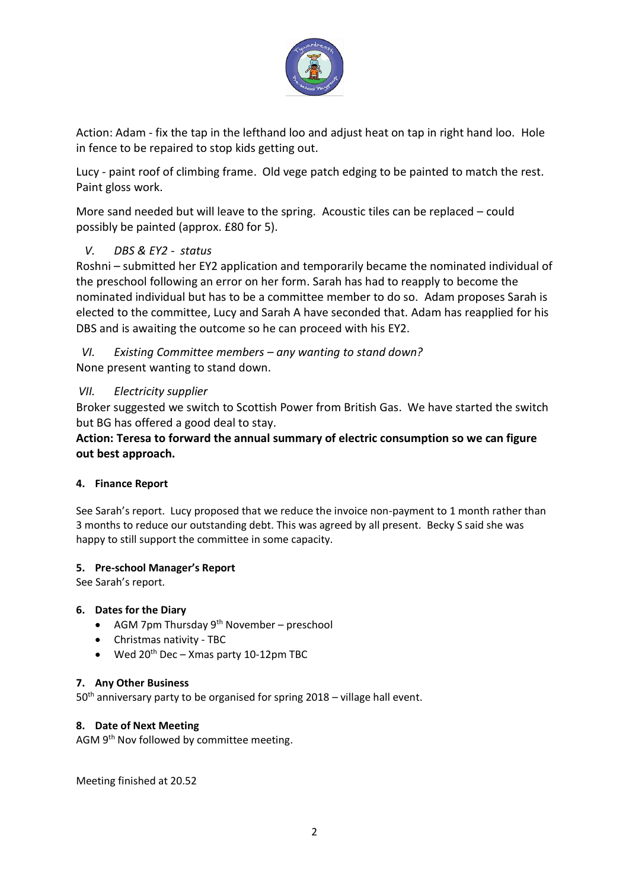

Action: Adam - fix the tap in the lefthand loo and adjust heat on tap in right hand loo. Hole in fence to be repaired to stop kids getting out.

Lucy - paint roof of climbing frame. Old vege patch edging to be painted to match the rest. Paint gloss work.

More sand needed but will leave to the spring. Acoustic tiles can be replaced – could possibly be painted (approx. £80 for 5).

## *V. DBS & EY2 - status*

Roshni – submitted her EY2 application and temporarily became the nominated individual of the preschool following an error on her form. Sarah has had to reapply to become the nominated individual but has to be a committee member to do so. Adam proposes Sarah is elected to the committee, Lucy and Sarah A have seconded that. Adam has reapplied for his DBS and is awaiting the outcome so he can proceed with his EY2.

*VI. Existing Committee members – any wanting to stand down?*  None present wanting to stand down.

## *VII. Electricity supplier*

Broker suggested we switch to Scottish Power from British Gas. We have started the switch but BG has offered a good deal to stay.

**Action: Teresa to forward the annual summary of electric consumption so we can figure out best approach.** 

## **4. Finance Report**

See Sarah's report. Lucy proposed that we reduce the invoice non-payment to 1 month rather than 3 months to reduce our outstanding debt. This was agreed by all present. Becky S said she was happy to still support the committee in some capacity.

#### **5. Pre-school Manager's Report**

See Sarah's report.

## **6. Dates for the Diary**

- AGM 7pm Thursday  $9<sup>th</sup>$  November preschool
- Christmas nativity TBC
- Wed  $20^{th}$  Dec Xmas party 10-12pm TBC

#### **7. Any Other Business**

 $50<sup>th</sup>$  anniversary party to be organised for spring 2018 – village hall event.

#### **8. Date of Next Meeting**

AGM 9<sup>th</sup> Nov followed by committee meeting.

Meeting finished at 20.52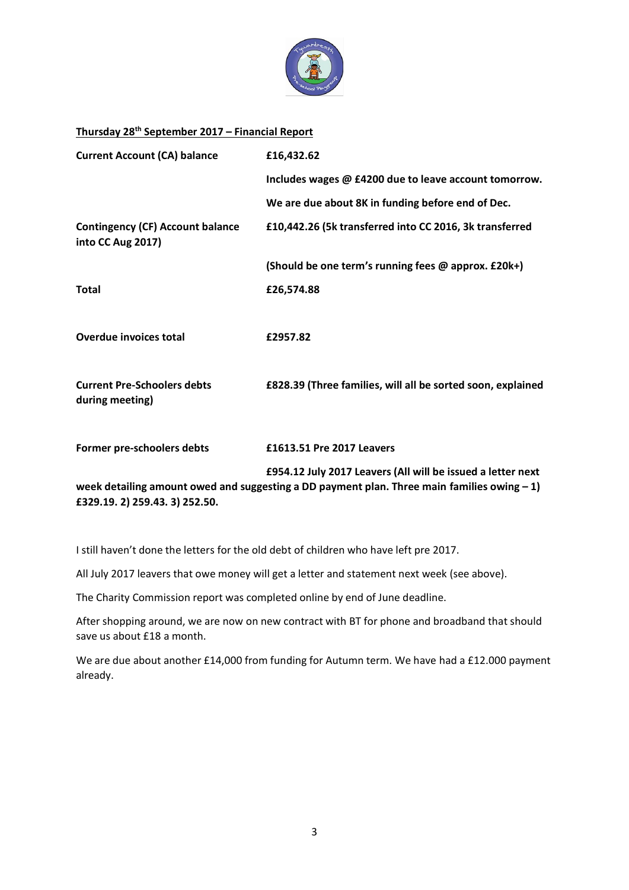

#### **Thursday 28th September 2017 – Financial Report**

| <b>Current Account (CA) balance</b>                                                           | £16,432.62                                                  |
|-----------------------------------------------------------------------------------------------|-------------------------------------------------------------|
|                                                                                               | Includes wages @ £4200 due to leave account tomorrow.       |
|                                                                                               | We are due about 8K in funding before end of Dec.           |
| <b>Contingency (CF) Account balance</b><br>into CC Aug 2017)                                  | £10,442.26 (5k transferred into CC 2016, 3k transferred     |
|                                                                                               | (Should be one term's running fees @ approx. £20k+)         |
| <b>Total</b>                                                                                  | £26,574.88                                                  |
|                                                                                               |                                                             |
| <b>Overdue invoices total</b>                                                                 | £2957.82                                                    |
|                                                                                               |                                                             |
| <b>Current Pre-Schoolers debts</b><br>during meeting)                                         | £828.39 (Three families, will all be sorted soon, explained |
|                                                                                               |                                                             |
| Former pre-schoolers debts                                                                    | £1613.51 Pre 2017 Leavers                                   |
|                                                                                               | £954.12 July 2017 Leavers (All will be issued a letter next |
| week detailing amount owed and suggesting a DD payment plan. Three main families owing $-1$ ) |                                                             |

**£329.19. 2) 259.43. 3) 252.50.**

I still haven't done the letters for the old debt of children who have left pre 2017.

All July 2017 leavers that owe money will get a letter and statement next week (see above).

The Charity Commission report was completed online by end of June deadline.

After shopping around, we are now on new contract with BT for phone and broadband that should save us about £18 a month.

We are due about another £14,000 from funding for Autumn term. We have had a £12.000 payment already.